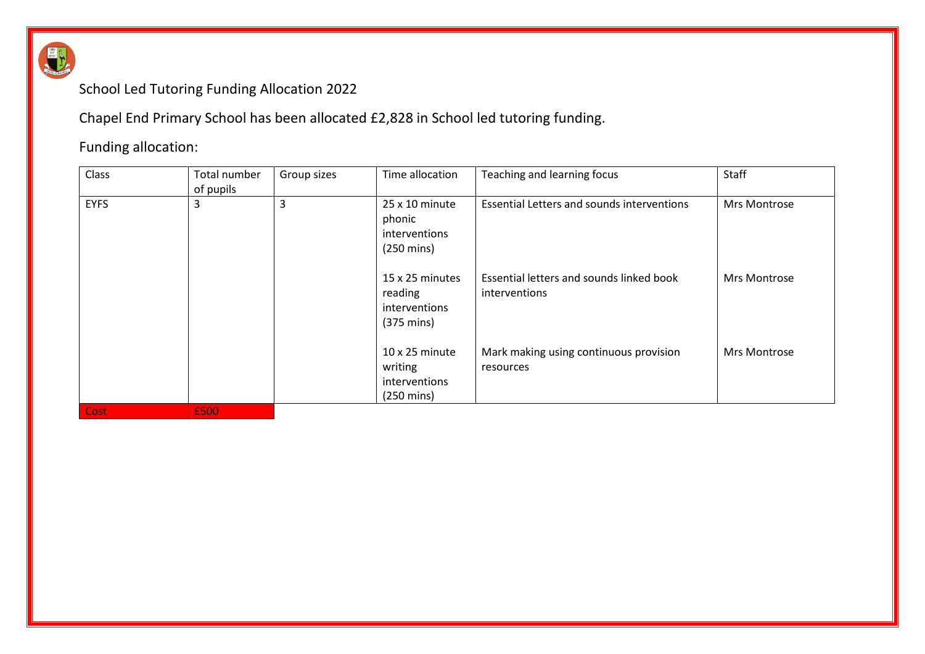

## School Led Tutoring Funding Allocation 2022

Chapel End Primary School has been allocated £2,828 in School led tutoring funding.

## Funding allocation:

| Class       | Total number | Group sizes | Time allocation                                                           | Teaching and learning focus                               | Staff               |
|-------------|--------------|-------------|---------------------------------------------------------------------------|-----------------------------------------------------------|---------------------|
|             | of pupils    |             |                                                                           |                                                           |                     |
| <b>EYFS</b> | 3            | 3           | $25 \times 10$ minute<br>phonic<br>interventions<br>$(250 \text{ mins})$  | <b>Essential Letters and sounds interventions</b>         | Mrs Montrose        |
|             |              |             | 15 x 25 minutes<br>reading<br>interventions<br>$(375 \text{ mins})$       | Essential letters and sounds linked book<br>interventions | Mrs Montrose        |
|             |              |             | $10 \times 25$ minute<br>writing<br>interventions<br>$(250 \text{ mins})$ | Mark making using continuous provision<br>resources       | <b>Mrs Montrose</b> |
| Cost        | £500         |             |                                                                           |                                                           |                     |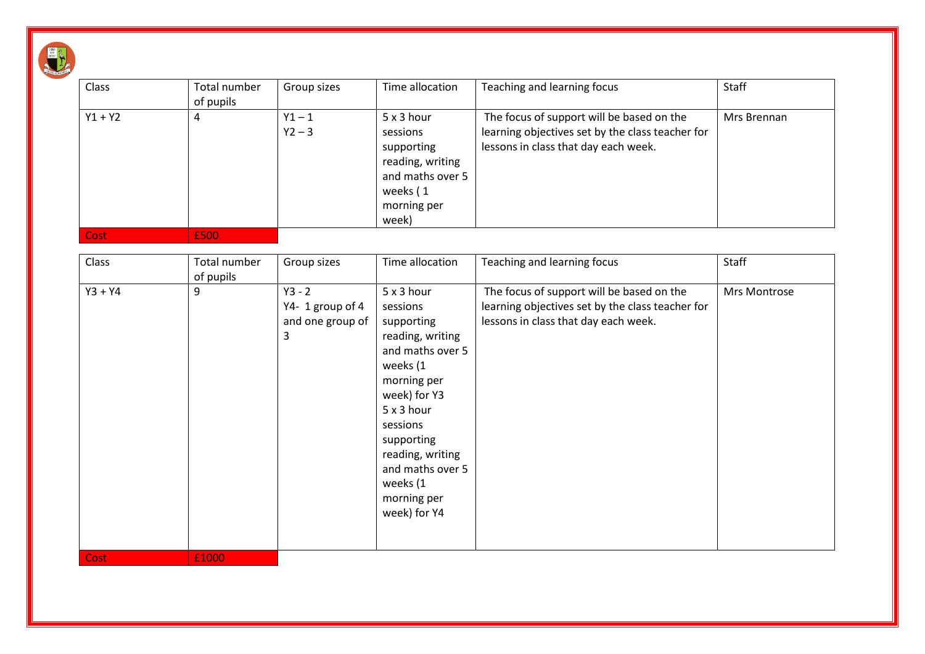| $\frac{1}{NT}$ |  |
|----------------|--|
| <b>BEST</b>    |  |
|                |  |
|                |  |

| Class       | Total number<br>of pupils | Group sizes                                          | Time allocation                                                                                                                                                                                                                                    | Teaching and learning focus                                                                                                           | Staff        |
|-------------|---------------------------|------------------------------------------------------|----------------------------------------------------------------------------------------------------------------------------------------------------------------------------------------------------------------------------------------------------|---------------------------------------------------------------------------------------------------------------------------------------|--------------|
| $Y1 + Y2$   | 4                         | $Y1 - 1$<br>$Y2 - 3$                                 | 5 x 3 hour<br>sessions<br>supporting<br>reading, writing<br>and maths over 5<br>weeks (1<br>morning per<br>week)                                                                                                                                   | The focus of support will be based on the<br>learning objectives set by the class teacher for<br>lessons in class that day each week. | Mrs Brennan  |
| <b>Cost</b> | £500                      |                                                      |                                                                                                                                                                                                                                                    |                                                                                                                                       |              |
| Class       | Total number<br>of pupils | Group sizes                                          | Time allocation                                                                                                                                                                                                                                    | Teaching and learning focus                                                                                                           | Staff        |
| $Y3 + Y4$   | 9                         | $Y3 - 2$<br>Y4-1 group of 4<br>and one group of<br>3 | 5 x 3 hour<br>sessions<br>supporting<br>reading, writing<br>and maths over 5<br>weeks (1<br>morning per<br>week) for Y3<br>5 x 3 hour<br>sessions<br>supporting<br>reading, writing<br>and maths over 5<br>weeks (1<br>morning per<br>week) for Y4 | The focus of support will be based on the<br>learning objectives set by the class teacher for<br>lessons in class that day each week. | Mrs Montrose |
| <b>Cost</b> | £1000                     |                                                      |                                                                                                                                                                                                                                                    |                                                                                                                                       |              |

 $\overline{\phantom{0}}$